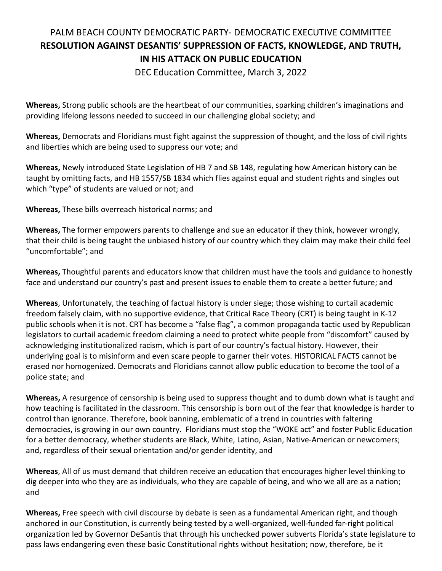## PALM BEACH COUNTY DEMOCRATIC PARTY- DEMOCRATIC EXECUTIVE COMMITTEE **RESOLUTION AGAINST DESANTIS' SUPPRESSION OF FACTS, KNOWLEDGE, AND TRUTH, IN HIS ATTACK ON PUBLIC EDUCATION**

DEC Education Committee, March 3, 2022

**Whereas,** Strong public schools are the heartbeat of our communities, sparking children's imaginations and providing lifelong lessons needed to succeed in our challenging global society; and

**Whereas,** Democrats and Floridians must fight against the suppression of thought, and the loss of civil rights and liberties which are being used to suppress our vote; and

**Whereas,** Newly introduced State Legislation of HB 7 and SB 148, regulating how American history can be taught by omitting facts, and HB 1557/SB 1834 which flies against equal and student rights and singles out which "type" of students are valued or not; and

**Whereas,** These bills overreach historical norms; and

**Whereas,** The former empowers parents to challenge and sue an educator if they think, however wrongly, that their child is being taught the unbiased history of our country which they claim may make their child feel "uncomfortable"; and

**Whereas,** Thoughtful parents and educators know that children must have the tools and guidance to honestly face and understand our country's past and present issues to enable them to create a better future; and

**Whereas**, Unfortunately, the teaching of factual history is under siege; those wishing to curtail academic freedom falsely claim, with no supportive evidence, that Critical Race Theory (CRT) is being taught in K-12 public schools when it is not. CRT has become a "false flag", a common propaganda tactic used by Republican legislators to curtail academic freedom claiming a need to protect white people from "discomfort" caused by acknowledging institutionalized racism, which is part of our country's factual history. However, their underlying goal is to misinform and even scare people to garner their votes. HISTORICAL FACTS cannot be erased nor homogenized. Democrats and Floridians cannot allow public education to become the tool of a police state; and

**Whereas,** A resurgence of censorship is being used to suppress thought and to dumb down what is taught and how teaching is facilitated in the classroom. This censorship is born out of the fear that knowledge is harder to control than ignorance. Therefore, book banning, emblematic of a trend in countries with faltering democracies, is growing in our own country. Floridians must stop the "WOKE act" and foster Public Education for a better democracy, whether students are Black, White, Latino, Asian, Native-American or newcomers; and, regardless of their sexual orientation and/or gender identity, and

**Whereas**, All of us must demand that children receive an education that encourages higher level thinking to dig deeper into who they are as individuals, who they are capable of being, and who we all are as a nation; and

**Whereas,** Free speech with civil discourse by debate is seen as a fundamental American right, and though anchored in our Constitution, is currently being tested by a well-organized, well-funded far-right political organization led by Governor DeSantis that through his unchecked power subverts Florida's state legislature to pass laws endangering even these basic Constitutional rights without hesitation; now, therefore, be it